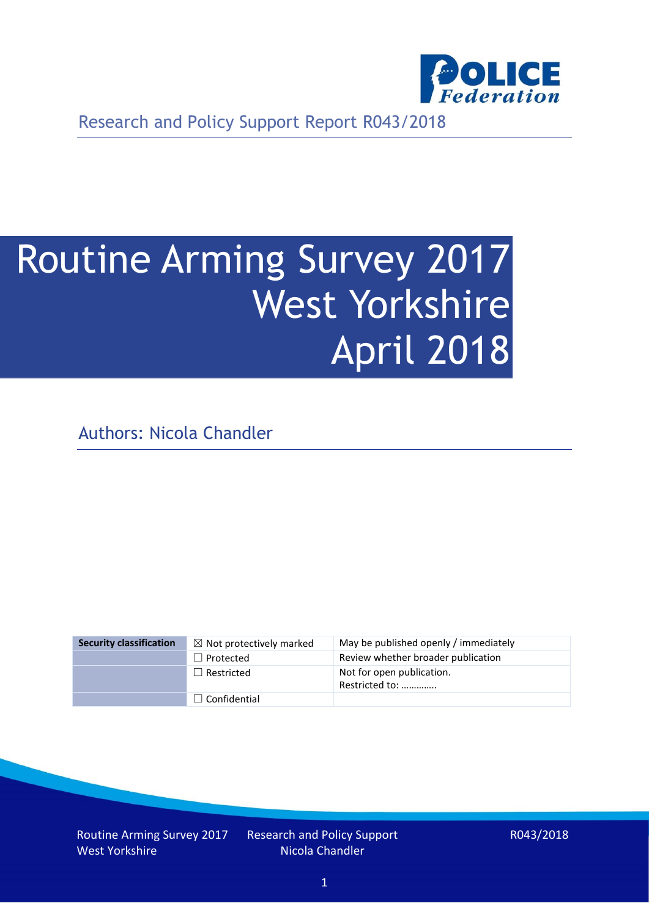

Research and Policy Support Report R043/2018

# Routine Arming Survey 2017 West Yorkshire April 2018

Authors: Nicola Chandler

| <b>Security classification</b> | $\boxtimes$ Not protectively marked | May be published openly / immediately       |
|--------------------------------|-------------------------------------|---------------------------------------------|
|                                | $\Box$ Protected                    | Review whether broader publication          |
|                                | $\Box$ Restricted                   | Not for open publication.<br>Restricted to: |
|                                | $\Box$ Confidential                 |                                             |

Routine Arming Survey 2017 West Yorkshire

Research and Policy Support Nicola Chandler

R043/2018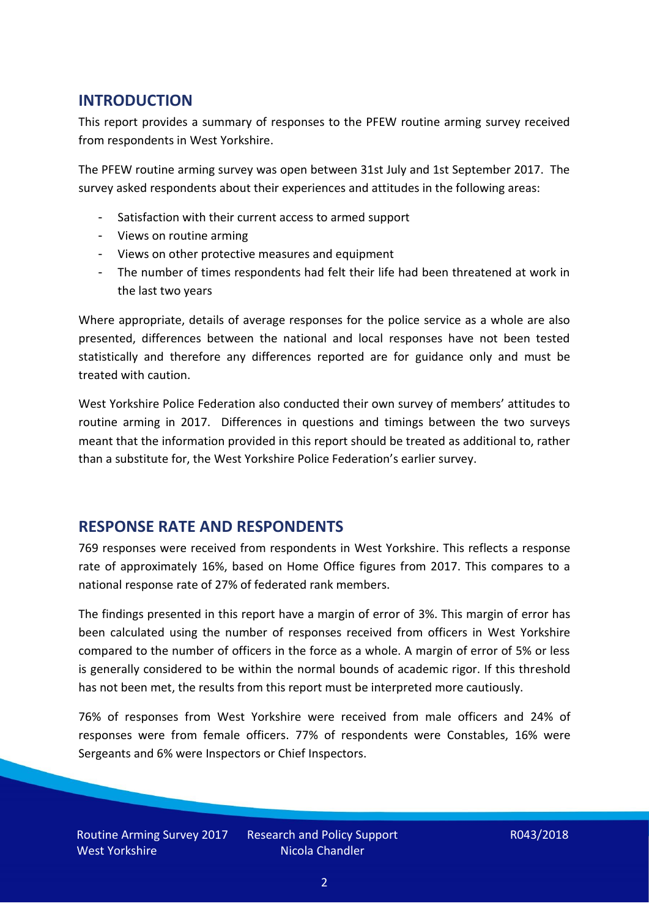# **INTRODUCTION**

This report provides a summary of responses to the PFEW routine arming survey received from respondents in West Yorkshire.

The PFEW routine arming survey was open between 31st July and 1st September 2017. The survey asked respondents about their experiences and attitudes in the following areas:

- Satisfaction with their current access to armed support
- Views on routine arming
- Views on other protective measures and equipment
- The number of times respondents had felt their life had been threatened at work in the last two years

Where appropriate, details of average responses for the police service as a whole are also presented, differences between the national and local responses have not been tested statistically and therefore any differences reported are for guidance only and must be treated with caution.

West Yorkshire Police Federation also conducted their own survey of members' attitudes to routine arming in 2017. Differences in questions and timings between the two surveys meant that the information provided in this report should be treated as additional to, rather than a substitute for, the West Yorkshire Police Federation's earlier survey.

### **RESPONSE RATE AND RESPONDENTS**

769 responses were received from respondents in West Yorkshire. This reflects a response rate of approximately 16%, based on Home Office figures from 2017. This compares to a national response rate of 27% of federated rank members.

The findings presented in this report have a margin of error of 3%. This margin of error has been calculated using the number of responses received from officers in West Yorkshire compared to the number of officers in the force as a whole. A margin of error of 5% or less is generally considered to be within the normal bounds of academic rigor. If this threshold has not been met, the results from this report must be interpreted more cautiously.

76% of responses from West Yorkshire were received from male officers and 24% of responses were from female officers. 77% of respondents were Constables, 16% were Sergeants and 6% were Inspectors or Chief Inspectors.

Research and Policy Support Nicola Chandler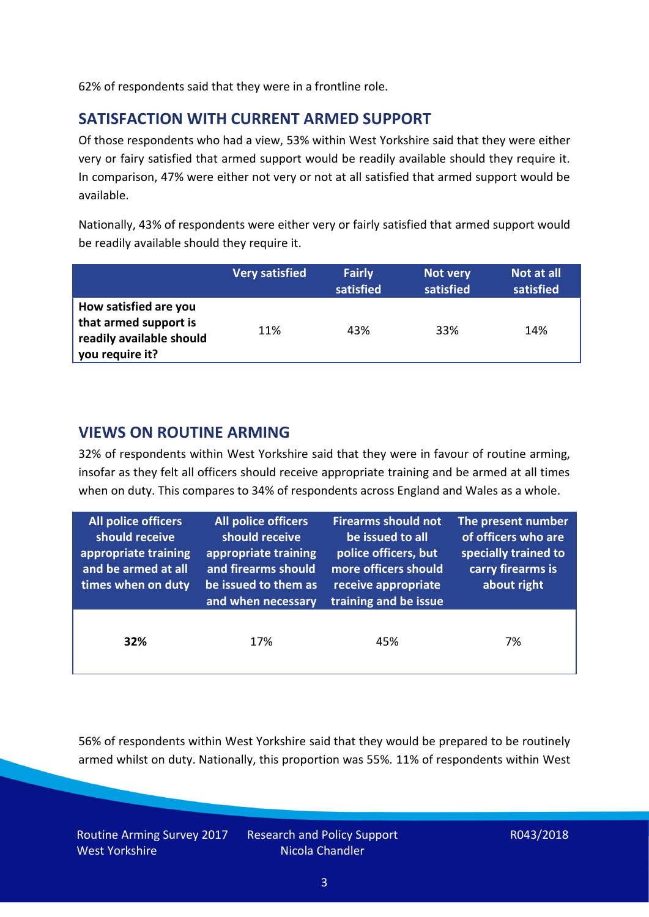62% of respondents said that they were in a frontline role.

# **SATISFACTION WITH CURRENT ARMED SUPPORT**

Of those respondents who had a view, 53% within West Yorkshire said that they were either very or fairy satisfied that armed support would be readily available should they require it. In comparison, 47% were either not very or not at all satisfied that armed support would be available.

Nationally, 43% of respondents were either very or fairly satisfied that armed support would be readily available should they require it.

|                                                                                               | <b>Very satisfied</b> | <b>Fairly</b><br>satisfied | Not very<br>satisfied | Not at all<br>satisfied |
|-----------------------------------------------------------------------------------------------|-----------------------|----------------------------|-----------------------|-------------------------|
| How satisfied are you<br>that armed support is<br>readily available should<br>you require it? | 11%                   | 43%                        | 33%                   | 14%                     |

## **VIEWS ON ROUTINE ARMING**

32% of respondents within West Yorkshire said that they were in favour of routine arming, insofar as they felt all officers should receive appropriate training and be armed at all times when on duty. This compares to 34% of respondents across England and Wales as a whole.

| All police officers<br>should receive<br>appropriate training<br>and be armed at all<br>times when on duty | <b>All police officers</b><br>should receive<br>appropriate training<br>and firearms should<br>be issued to them as<br>and when necessary | <b>Firearms should not</b><br>be issued to all<br>police officers, but<br>more officers should<br>receive appropriate<br>training and be issue | The present number<br>of officers who are<br>specially trained to<br>carry firearms is<br>about right |  |
|------------------------------------------------------------------------------------------------------------|-------------------------------------------------------------------------------------------------------------------------------------------|------------------------------------------------------------------------------------------------------------------------------------------------|-------------------------------------------------------------------------------------------------------|--|
| 32%                                                                                                        | 17%                                                                                                                                       | 45%                                                                                                                                            | 7%                                                                                                    |  |

56% of respondents within West Yorkshire said that they would be prepared to be routinely armed whilst on duty. Nationally, this proportion was 55%. 11% of respondents within West

Routine Arming Survey 2017 West Yorkshire

Research and Policy Support Nicola Chandler

R043/2018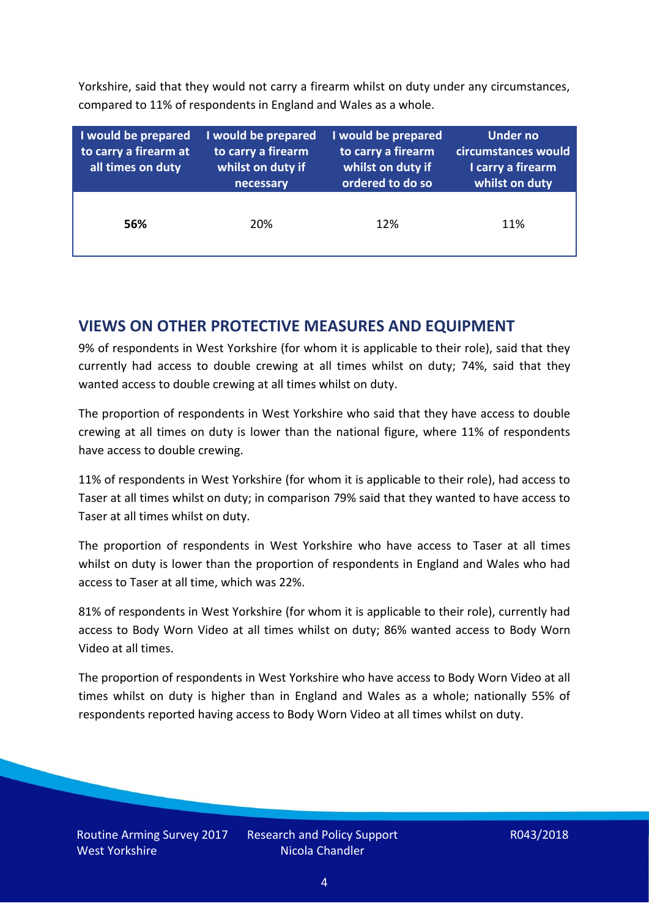Yorkshire, said that they would not carry a firearm whilst on duty under any circumstances, compared to 11% of respondents in England and Wales as a whole.

| I would be prepared<br>to carry a firearm at<br>all times on duty | I would be prepared<br>to carry a firearm<br>whilst on duty if<br>necessary | I would be prepared<br>to carry a firearm<br>whilst on duty if<br>ordered to do so | Under no<br>circumstances would<br>I carry a firearm<br>whilst on duty |  |  |
|-------------------------------------------------------------------|-----------------------------------------------------------------------------|------------------------------------------------------------------------------------|------------------------------------------------------------------------|--|--|
| 56%                                                               | 20%                                                                         | 12%                                                                                | 11%                                                                    |  |  |

## **VIEWS ON OTHER PROTECTIVE MEASURES AND EQUIPMENT**

9% of respondents in West Yorkshire (for whom it is applicable to their role), said that they currently had access to double crewing at all times whilst on duty; 74%, said that they wanted access to double crewing at all times whilst on duty.

The proportion of respondents in West Yorkshire who said that they have access to double crewing at all times on duty is lower than the national figure, where 11% of respondents have access to double crewing.

11% of respondents in West Yorkshire (for whom it is applicable to their role), had access to Taser at all times whilst on duty; in comparison 79% said that they wanted to have access to Taser at all times whilst on duty.

The proportion of respondents in West Yorkshire who have access to Taser at all times whilst on duty is lower than the proportion of respondents in England and Wales who had access to Taser at all time, which was 22%.

81% of respondents in West Yorkshire (for whom it is applicable to their role), currently had access to Body Worn Video at all times whilst on duty; 86% wanted access to Body Worn Video at all times.

The proportion of respondents in West Yorkshire who have access to Body Worn Video at all times whilst on duty is higher than in England and Wales as a whole; nationally 55% of respondents reported having access to Body Worn Video at all times whilst on duty.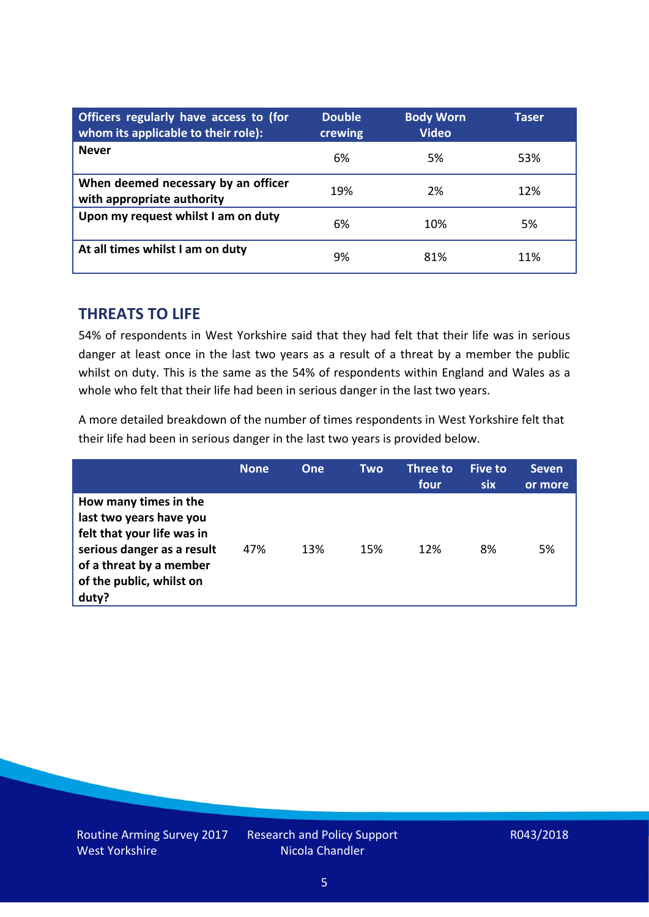| Officers regularly have access to (for<br>whom its applicable to their role): | <b>Double</b><br>crewing | <b>Body Worn</b><br><b>Video</b> | Taser |
|-------------------------------------------------------------------------------|--------------------------|----------------------------------|-------|
| <b>Never</b>                                                                  | 6%                       | 5%                               | 53%   |
| When deemed necessary by an officer<br>with appropriate authority             | 19%                      | 2%                               | 12%   |
| Upon my request whilst I am on duty                                           | 6%                       | 10%                              | 5%    |
| At all times whilst I am on duty                                              | 9%                       | 81%                              | 11%   |

### **THREATS TO LIFE**

54% of respondents in West Yorkshire said that they had felt that their life was in serious danger at least once in the last two years as a result of a threat by a member the public whilst on duty. This is the same as the 54% of respondents within England and Wales as a whole who felt that their life had been in serious danger in the last two years.

A more detailed breakdown of the number of times respondents in West Yorkshire felt that their life had been in serious danger in the last two years is provided below.

|                                                                                                                                                                              | <b>None</b> | <b>One</b> | Two | Three to<br>four | <b>Five to</b><br><b>six</b> | <b>Seven</b><br>or more |
|------------------------------------------------------------------------------------------------------------------------------------------------------------------------------|-------------|------------|-----|------------------|------------------------------|-------------------------|
| How many times in the<br>last two years have you<br>felt that your life was in<br>serious danger as a result<br>of a threat by a member<br>of the public, whilst on<br>duty? | 47%         | 13%        | 15% | 12%              | 8%                           | 5%                      |

Research and Policy Support Nicola Chandler